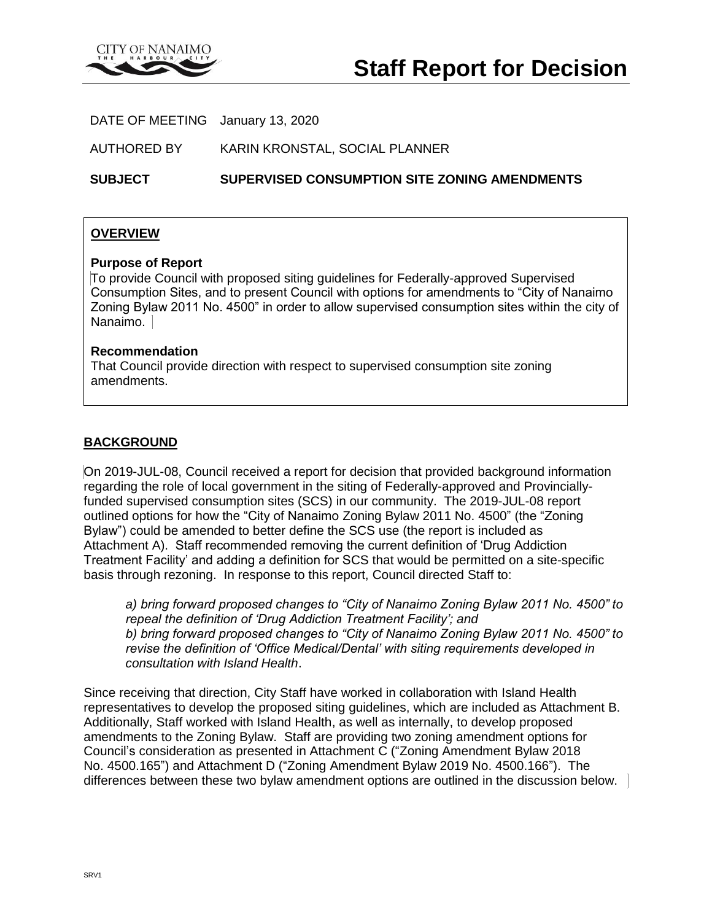

DATE OF MEETING January 13, 2020

AUTHORED BY KARIN KRONSTAL, SOCIAL PLANNER

**SUBJECT SUPERVISED CONSUMPTION SITE ZONING AMENDMENTS**

### **OVERVIEW**

#### **Purpose of Report**

To provide Council with proposed siting guidelines for Federally-approved Supervised Consumption Sites, and to present Council with options for amendments to "City of Nanaimo Zoning Bylaw 2011 No. 4500" in order to allow supervised consumption sites within the city of Nanaimo.

#### **Recommendation**

That Council provide direction with respect to supervised consumption site zoning amendments.

### **BACKGROUND**

On 2019-JUL-08, Council received a report for decision that provided background information regarding the role of local government in the siting of Federally-approved and Provinciallyfunded supervised consumption sites (SCS) in our community. The 2019-JUL-08 report outlined options for how the "City of Nanaimo Zoning Bylaw 2011 No. 4500" (the "Zoning Bylaw") could be amended to better define the SCS use (the report is included as Attachment A). Staff recommended removing the current definition of 'Drug Addiction Treatment Facility' and adding a definition for SCS that would be permitted on a site-specific basis through rezoning. In response to this report, Council directed Staff to:

*a) bring forward proposed changes to "City of Nanaimo Zoning Bylaw 2011 No. 4500" to repeal the definition of 'Drug Addiction Treatment Facility'; and b) bring forward proposed changes to "City of Nanaimo Zoning Bylaw 2011 No. 4500" to revise the definition of 'Office Medical/Dental' with siting requirements developed in consultation with Island Health*.

Since receiving that direction, City Staff have worked in collaboration with Island Health representatives to develop the proposed siting guidelines, which are included as Attachment B. Additionally, Staff worked with Island Health, as well as internally, to develop proposed amendments to the Zoning Bylaw. Staff are providing two zoning amendment options for Council's consideration as presented in Attachment C ("Zoning Amendment Bylaw 2018 No. 4500.165") and Attachment D ("Zoning Amendment Bylaw 2019 No. 4500.166"). The differences between these two bylaw amendment options are outlined in the discussion below.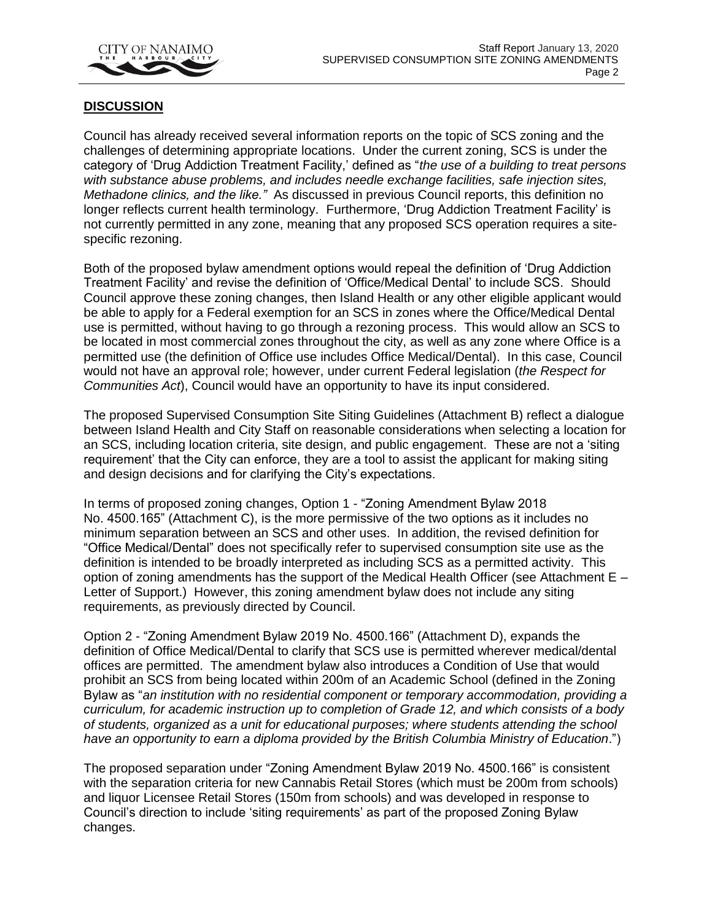

### **DISCUSSION**

Council has already received several information reports on the topic of SCS zoning and the challenges of determining appropriate locations. Under the current zoning, SCS is under the category of 'Drug Addiction Treatment Facility,' defined as "*the use of a building to treat persons with substance abuse problems, and includes needle exchange facilities, safe injection sites, Methadone clinics, and the like."* As discussed in previous Council reports, this definition no longer reflects current health terminology. Furthermore, 'Drug Addiction Treatment Facility' is not currently permitted in any zone, meaning that any proposed SCS operation requires a sitespecific rezoning.

Both of the proposed bylaw amendment options would repeal the definition of 'Drug Addiction Treatment Facility' and revise the definition of 'Office/Medical Dental' to include SCS. Should Council approve these zoning changes, then Island Health or any other eligible applicant would be able to apply for a Federal exemption for an SCS in zones where the Office/Medical Dental use is permitted, without having to go through a rezoning process. This would allow an SCS to be located in most commercial zones throughout the city, as well as any zone where Office is a permitted use (the definition of Office use includes Office Medical/Dental). In this case, Council would not have an approval role; however, under current Federal legislation (*the Respect for Communities Act*), Council would have an opportunity to have its input considered.

The proposed Supervised Consumption Site Siting Guidelines (Attachment B) reflect a dialogue between Island Health and City Staff on reasonable considerations when selecting a location for an SCS, including location criteria, site design, and public engagement. These are not a 'siting requirement' that the City can enforce, they are a tool to assist the applicant for making siting and design decisions and for clarifying the City's expectations.

In terms of proposed zoning changes, Option 1 - "Zoning Amendment Bylaw 2018 No. 4500.165" (Attachment C), is the more permissive of the two options as it includes no minimum separation between an SCS and other uses. In addition, the revised definition for "Office Medical/Dental" does not specifically refer to supervised consumption site use as the definition is intended to be broadly interpreted as including SCS as a permitted activity. This option of zoning amendments has the support of the Medical Health Officer (see Attachment E – Letter of Support.) However, this zoning amendment bylaw does not include any siting requirements, as previously directed by Council.

Option 2 - "Zoning Amendment Bylaw 2019 No. 4500.166" (Attachment D), expands the definition of Office Medical/Dental to clarify that SCS use is permitted wherever medical/dental offices are permitted. The amendment bylaw also introduces a Condition of Use that would prohibit an SCS from being located within 200m of an Academic School (defined in the Zoning Bylaw as "*an institution with no residential component or temporary accommodation, providing a curriculum, for academic instruction up to completion of Grade 12, and which consists of a body of students, organized as a unit for educational purposes; where students attending the school have an opportunity to earn a diploma provided by the British Columbia Ministry of Education*.")

The proposed separation under "Zoning Amendment Bylaw 2019 No. 4500.166" is consistent with the separation criteria for new Cannabis Retail Stores (which must be 200m from schools) and liquor Licensee Retail Stores (150m from schools) and was developed in response to Council's direction to include 'siting requirements' as part of the proposed Zoning Bylaw changes.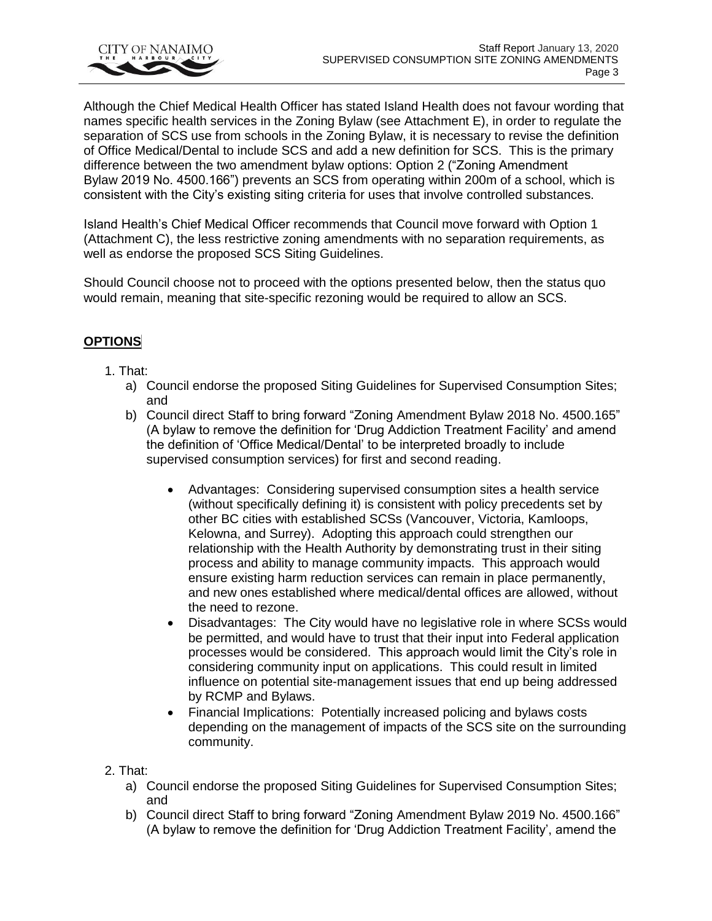

Although the Chief Medical Health Officer has stated Island Health does not favour wording that names specific health services in the Zoning Bylaw (see Attachment E), in order to regulate the separation of SCS use from schools in the Zoning Bylaw, it is necessary to revise the definition of Office Medical/Dental to include SCS and add a new definition for SCS. This is the primary difference between the two amendment bylaw options: Option 2 ("Zoning Amendment Bylaw 2019 No. 4500.166") prevents an SCS from operating within 200m of a school, which is consistent with the City's existing siting criteria for uses that involve controlled substances.

Island Health's Chief Medical Officer recommends that Council move forward with Option 1 (Attachment C), the less restrictive zoning amendments with no separation requirements, as well as endorse the proposed SCS Siting Guidelines.

Should Council choose not to proceed with the options presented below, then the status quo would remain, meaning that site-specific rezoning would be required to allow an SCS.

# **OPTIONS**

## 1. That:

- a) Council endorse the proposed Siting Guidelines for Supervised Consumption Sites; and
- b) Council direct Staff to bring forward "Zoning Amendment Bylaw 2018 No. 4500.165" (A bylaw to remove the definition for 'Drug Addiction Treatment Facility' and amend the definition of 'Office Medical/Dental' to be interpreted broadly to include supervised consumption services) for first and second reading.
	- Advantages: Considering supervised consumption sites a health service (without specifically defining it) is consistent with policy precedents set by other BC cities with established SCSs (Vancouver, Victoria, Kamloops, Kelowna, and Surrey). Adopting this approach could strengthen our relationship with the Health Authority by demonstrating trust in their siting process and ability to manage community impacts. This approach would ensure existing harm reduction services can remain in place permanently, and new ones established where medical/dental offices are allowed, without the need to rezone.
	- Disadvantages: The City would have no legislative role in where SCSs would be permitted, and would have to trust that their input into Federal application processes would be considered. This approach would limit the City's role in considering community input on applications. This could result in limited influence on potential site-management issues that end up being addressed by RCMP and Bylaws.
	- Financial Implications: Potentially increased policing and bylaws costs depending on the management of impacts of the SCS site on the surrounding community.
- 2. That:
	- a) Council endorse the proposed Siting Guidelines for Supervised Consumption Sites; and
	- b) Council direct Staff to bring forward "Zoning Amendment Bylaw 2019 No. 4500.166" (A bylaw to remove the definition for 'Drug Addiction Treatment Facility', amend the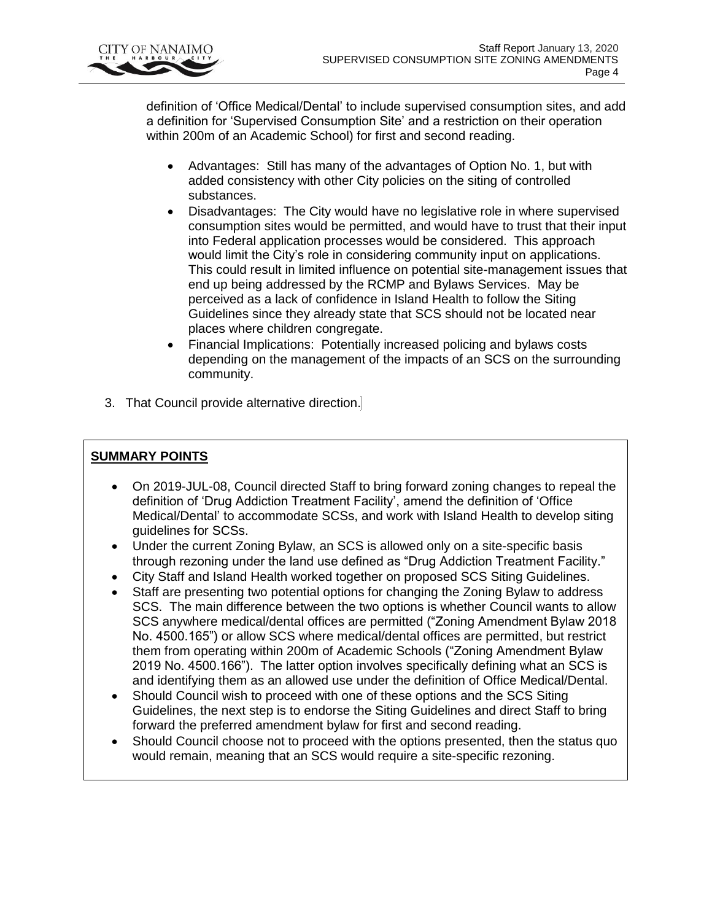

definition of 'Office Medical/Dental' to include supervised consumption sites, and add a definition for 'Supervised Consumption Site' and a restriction on their operation within 200m of an Academic School) for first and second reading.

- Advantages: Still has many of the advantages of Option No. 1, but with added consistency with other City policies on the siting of controlled substances.
- Disadvantages: The City would have no legislative role in where supervised consumption sites would be permitted, and would have to trust that their input into Federal application processes would be considered. This approach would limit the City's role in considering community input on applications. This could result in limited influence on potential site-management issues that end up being addressed by the RCMP and Bylaws Services. May be perceived as a lack of confidence in Island Health to follow the Siting Guidelines since they already state that SCS should not be located near places where children congregate.
- Financial Implications: Potentially increased policing and bylaws costs depending on the management of the impacts of an SCS on the surrounding community.
- 3. That Council provide alternative direction.

# **SUMMARY POINTS**

- On 2019-JUL-08, Council directed Staff to bring forward zoning changes to repeal the definition of 'Drug Addiction Treatment Facility', amend the definition of 'Office Medical/Dental' to accommodate SCSs, and work with Island Health to develop siting guidelines for SCSs.
- Under the current Zoning Bylaw, an SCS is allowed only on a site-specific basis through rezoning under the land use defined as "Drug Addiction Treatment Facility."
- City Staff and Island Health worked together on proposed SCS Siting Guidelines.
- Staff are presenting two potential options for changing the Zoning Bylaw to address SCS. The main difference between the two options is whether Council wants to allow SCS anywhere medical/dental offices are permitted ("Zoning Amendment Bylaw 2018 No. 4500.165") or allow SCS where medical/dental offices are permitted, but restrict them from operating within 200m of Academic Schools ("Zoning Amendment Bylaw 2019 No. 4500.166"). The latter option involves specifically defining what an SCS is and identifying them as an allowed use under the definition of Office Medical/Dental.
- Should Council wish to proceed with one of these options and the SCS Siting Guidelines, the next step is to endorse the Siting Guidelines and direct Staff to bring forward the preferred amendment bylaw for first and second reading.
- Should Council choose not to proceed with the options presented, then the status quo would remain, meaning that an SCS would require a site-specific rezoning.